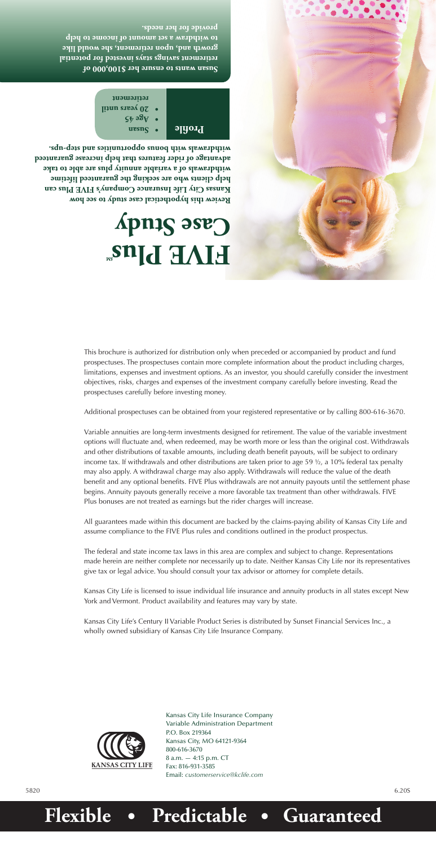Kansas City Life Insurance Company Variable Administration Department P.O. Box 219364 Kansas City, MO 64121-9364 800-616-3670 8 a.m. — 4:15 p.m. CT Fax: 816-931-3585 Email: *customerservice@kclife.com*

**Review this hypothetical case study to see how** 

# **FIVE Plus**<sup>2n</sup> **Case Study**

**Kansas City Life Insurance Company's FIVE Plus can help clients who are seeking the guaranteed lifetime withdrawals of a variable annuity plus are able to take advantage of rider features that help increase guaranteed withdrawals with bonus opportunities and step-ups.** 



**Susan wants to ensure her \$100,000 of retirement savings stays invested for potential growth and, upon retirement, she would like to withdraw a set amount of income to help provide for her needs.** 

5820 6.20S

# **Flexible • Predictable • Guaranteed**

**Susan • Profile**

**Age 45 •**

**20 years until • retirement**

This brochure is authorized for distribution only when preceded or accompanied by product and fund prospectuses. The prospectuses contain more complete information about the product including charges, limitations, expenses and investment options. As an investor, you should carefully consider the investment objectives, risks, charges and expenses of the investment company carefully before investing. Read the prospectuses carefully before investing money.

Additional prospectuses can be obtained from your registered representative or by calling 800-616-3670.

Variable annuities are long-term investments designed for retirement. The value of the variable investment options will fluctuate and, when redeemed, may be worth more or less than the original cost. Withdrawals and other distributions of taxable amounts, including death benefit payouts, will be subject to ordinary income tax. If withdrawals and other distributions are taken prior to age 59 ½, a 10% federal tax penalty may also apply. A withdrawal charge may also apply. Withdrawals will reduce the value of the death benefit and any optional benefits. FIVE Plus withdrawals are not annuity payouts until the settlement phase begins. Annuity payouts generally receive a more favorable tax treatment than other withdrawals. FIVE Plus bonuses are not treated as earnings but the rider charges will increase.

All guarantees made within this document are backed by the claims-paying ability of Kansas City Life and assume compliance to the FIVE Plus rules and conditions outlined in the product prospectus.

The federal and state income tax laws in this area are complex and subject to change. Representations made herein are neither complete nor necessarily up to date. Neither Kansas City Life nor its representatives give tax or legal advice. You should consult your tax advisor or attorney for complete details.

Kansas City Life is licensed to issue individual life insurance and annuity products in all states except New York and Vermont. Product availability and features may vary by state.

Kansas City Life's Century II Variable Product Series is distributed by Sunset Financial Services Inc., a wholly owned subsidiary of Kansas City Life Insurance Company.